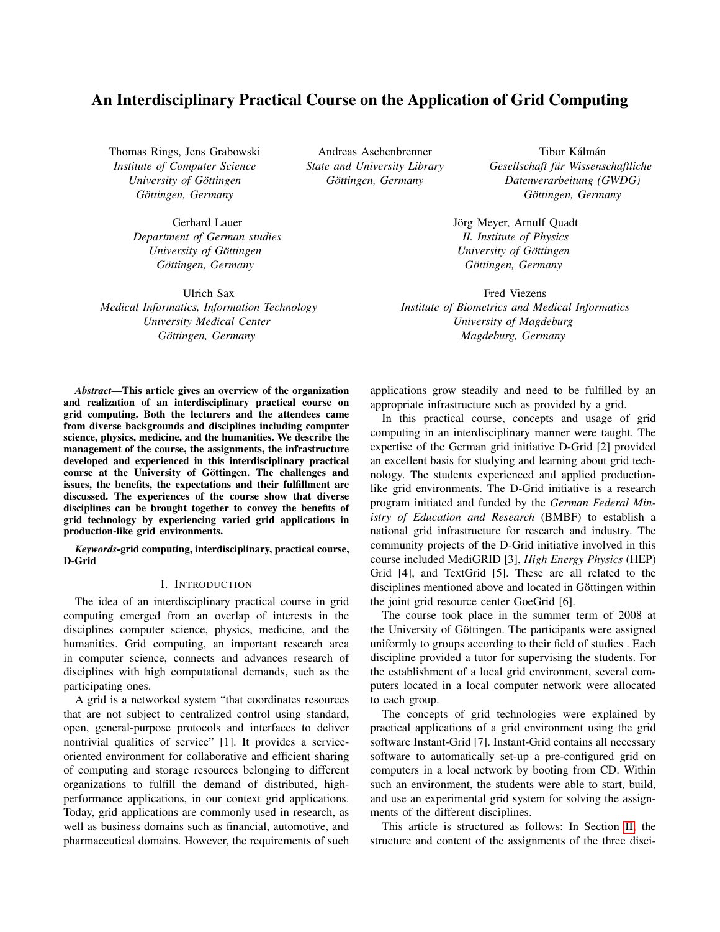# An Interdisciplinary Practical Course on the Application of Grid Computing

Thomas Rings, Jens Grabowski *Institute of Computer Science University of Gottingen ¨ Gottingen, Germany ¨*

> Gerhard Lauer *Department of German studies University of Gottingen ¨ Gottingen, Germany ¨*

Ulrich Sax *Medical Informatics, Information Technology University Medical Center Gottingen, Germany ¨*

Andreas Aschenbrenner *State and University Library Gottingen, Germany ¨*

Tibor Kálmán *Gesellschaft fur Wissenschaftliche ¨ Datenverarbeitung (GWDG) Gottingen, Germany ¨*

Jörg Meyer, Arnulf Quadt *II. Institute of Physics University of Gottingen ¨ Gottingen, Germany ¨*

Fred Viezens *Institute of Biometrics and Medical Informatics University of Magdeburg Magdeburg, Germany*

*Abstract*—This article gives an overview of the organization and realization of an interdisciplinary practical course on grid computing. Both the lecturers and the attendees came from diverse backgrounds and disciplines including computer science, physics, medicine, and the humanities. We describe the management of the course, the assignments, the infrastructure developed and experienced in this interdisciplinary practical course at the University of Göttingen. The challenges and issues, the benefits, the expectations and their fulfillment are discussed. The experiences of the course show that diverse disciplines can be brought together to convey the benefits of grid technology by experiencing varied grid applications in production-like grid environments.

*Keywords*-grid computing, interdisciplinary, practical course, D-Grid

#### I. INTRODUCTION

The idea of an interdisciplinary practical course in grid computing emerged from an overlap of interests in the disciplines computer science, physics, medicine, and the humanities. Grid computing, an important research area in computer science, connects and advances research of disciplines with high computational demands, such as the participating ones.

A grid is a networked system "that coordinates resources that are not subject to centralized control using standard, open, general-purpose protocols and interfaces to deliver nontrivial qualities of service" [1]. It provides a serviceoriented environment for collaborative and efficient sharing of computing and storage resources belonging to different organizations to fulfill the demand of distributed, highperformance applications, in our context grid applications. Today, grid applications are commonly used in research, as well as business domains such as financial, automotive, and pharmaceutical domains. However, the requirements of such

applications grow steadily and need to be fulfilled by an appropriate infrastructure such as provided by a grid.

In this practical course, concepts and usage of grid computing in an interdisciplinary manner were taught. The expertise of the German grid initiative D-Grid [2] provided an excellent basis for studying and learning about grid technology. The students experienced and applied productionlike grid environments. The D-Grid initiative is a research program initiated and funded by the *German Federal Ministry of Education and Research* (BMBF) to establish a national grid infrastructure for research and industry. The community projects of the D-Grid initiative involved in this course included MediGRID [3], *High Energy Physics* (HEP) Grid [4], and TextGrid [5]. These are all related to the disciplines mentioned above and located in Göttingen within the joint grid resource center GoeGrid [6].

The course took place in the summer term of 2008 at the University of Göttingen. The participants were assigned uniformly to groups according to their field of studies . Each discipline provided a tutor for supervising the students. For the establishment of a local grid environment, several computers located in a local computer network were allocated to each group.

The concepts of grid technologies were explained by practical applications of a grid environment using the grid software Instant-Grid [7]. Instant-Grid contains all necessary software to automatically set-up a pre-configured grid on computers in a local network by booting from CD. Within such an environment, the students were able to start, build, and use an experimental grid system for solving the assignments of the different disciplines.

This article is structured as follows: In Section [II,](#page-1-0) the structure and content of the assignments of the three disci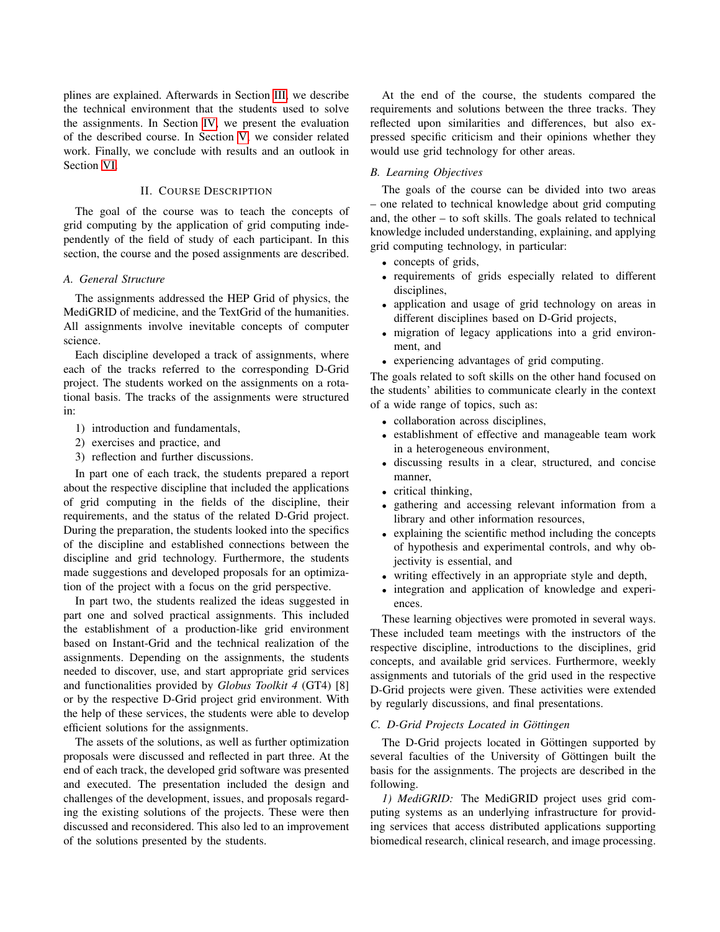plines are explained. Afterwards in Section [III,](#page-4-0) we describe the technical environment that the students used to solve the assignments. In Section [IV,](#page-5-0) we present the evaluation of the described course. In Section [V,](#page-6-0) we consider related work. Finally, we conclude with results and an outlook in Section [VI.](#page-6-1)

# II. COURSE DESCRIPTION

<span id="page-1-0"></span>The goal of the course was to teach the concepts of grid computing by the application of grid computing independently of the field of study of each participant. In this section, the course and the posed assignments are described.

### *A. General Structure*

The assignments addressed the HEP Grid of physics, the MediGRID of medicine, and the TextGrid of the humanities. All assignments involve inevitable concepts of computer science.

Each discipline developed a track of assignments, where each of the tracks referred to the corresponding D-Grid project. The students worked on the assignments on a rotational basis. The tracks of the assignments were structured in:

- 1) introduction and fundamentals,
- 2) exercises and practice, and
- 3) reflection and further discussions.

In part one of each track, the students prepared a report about the respective discipline that included the applications of grid computing in the fields of the discipline, their requirements, and the status of the related D-Grid project. During the preparation, the students looked into the specifics of the discipline and established connections between the discipline and grid technology. Furthermore, the students made suggestions and developed proposals for an optimization of the project with a focus on the grid perspective.

In part two, the students realized the ideas suggested in part one and solved practical assignments. This included the establishment of a production-like grid environment based on Instant-Grid and the technical realization of the assignments. Depending on the assignments, the students needed to discover, use, and start appropriate grid services and functionalities provided by *Globus Toolkit 4* (GT4) [8] or by the respective D-Grid project grid environment. With the help of these services, the students were able to develop efficient solutions for the assignments.

The assets of the solutions, as well as further optimization proposals were discussed and reflected in part three. At the end of each track, the developed grid software was presented and executed. The presentation included the design and challenges of the development, issues, and proposals regarding the existing solutions of the projects. These were then discussed and reconsidered. This also led to an improvement of the solutions presented by the students.

At the end of the course, the students compared the requirements and solutions between the three tracks. They reflected upon similarities and differences, but also expressed specific criticism and their opinions whether they would use grid technology for other areas.

# *B. Learning Objectives*

The goals of the course can be divided into two areas – one related to technical knowledge about grid computing and, the other – to soft skills. The goals related to technical knowledge included understanding, explaining, and applying grid computing technology, in particular:

- concepts of grids,
- requirements of grids especially related to different disciplines,
- application and usage of grid technology on areas in different disciplines based on D-Grid projects,
- migration of legacy applications into a grid environment, and
- experiencing advantages of grid computing.

The goals related to soft skills on the other hand focused on the students' abilities to communicate clearly in the context of a wide range of topics, such as:

- collaboration across disciplines,
- establishment of effective and manageable team work in a heterogeneous environment,
- discussing results in a clear, structured, and concise manner,
- critical thinking,
- gathering and accessing relevant information from a library and other information resources,
- explaining the scientific method including the concepts of hypothesis and experimental controls, and why objectivity is essential, and
- writing effectively in an appropriate style and depth,
- integration and application of knowledge and experiences.

These learning objectives were promoted in several ways. These included team meetings with the instructors of the respective discipline, introductions to the disciplines, grid concepts, and available grid services. Furthermore, weekly assignments and tutorials of the grid used in the respective D-Grid projects were given. These activities were extended by regularly discussions, and final presentations.

# *C. D-Grid Projects Located in Gottingen ¨*

The D-Grid projects located in Göttingen supported by several faculties of the University of Göttingen built the basis for the assignments. The projects are described in the following.

*1) MediGRID:* The MediGRID project uses grid computing systems as an underlying infrastructure for providing services that access distributed applications supporting biomedical research, clinical research, and image processing.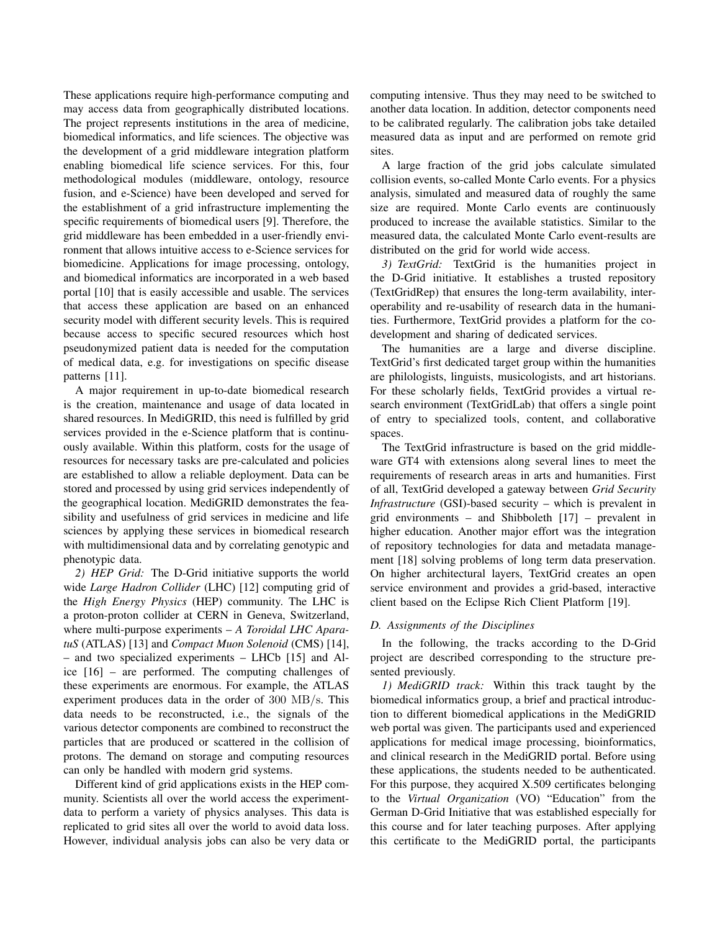These applications require high-performance computing and may access data from geographically distributed locations. The project represents institutions in the area of medicine, biomedical informatics, and life sciences. The objective was the development of a grid middleware integration platform enabling biomedical life science services. For this, four methodological modules (middleware, ontology, resource fusion, and e-Science) have been developed and served for the establishment of a grid infrastructure implementing the specific requirements of biomedical users [9]. Therefore, the grid middleware has been embedded in a user-friendly environment that allows intuitive access to e-Science services for biomedicine. Applications for image processing, ontology, and biomedical informatics are incorporated in a web based portal [10] that is easily accessible and usable. The services that access these application are based on an enhanced security model with different security levels. This is required because access to specific secured resources which host pseudonymized patient data is needed for the computation of medical data, e.g. for investigations on specific disease patterns [11].

A major requirement in up-to-date biomedical research is the creation, maintenance and usage of data located in shared resources. In MediGRID, this need is fulfilled by grid services provided in the e-Science platform that is continuously available. Within this platform, costs for the usage of resources for necessary tasks are pre-calculated and policies are established to allow a reliable deployment. Data can be stored and processed by using grid services independently of the geographical location. MediGRID demonstrates the feasibility and usefulness of grid services in medicine and life sciences by applying these services in biomedical research with multidimensional data and by correlating genotypic and phenotypic data.

*2) HEP Grid:* The D-Grid initiative supports the world wide *Large Hadron Collider* (LHC) [12] computing grid of the *High Energy Physics* (HEP) community. The LHC is a proton-proton collider at CERN in Geneva, Switzerland, where multi-purpose experiments – *A Toroidal LHC AparatuS* (ATLAS) [13] and *Compact Muon Solenoid* (CMS) [14], – and two specialized experiments – LHCb [15] and Alice [16] – are performed. The computing challenges of these experiments are enormous. For example, the ATLAS experiment produces data in the order of 300 MB/s. This data needs to be reconstructed, i.e., the signals of the various detector components are combined to reconstruct the particles that are produced or scattered in the collision of protons. The demand on storage and computing resources can only be handled with modern grid systems.

Different kind of grid applications exists in the HEP community. Scientists all over the world access the experimentdata to perform a variety of physics analyses. This data is replicated to grid sites all over the world to avoid data loss. However, individual analysis jobs can also be very data or computing intensive. Thus they may need to be switched to another data location. In addition, detector components need to be calibrated regularly. The calibration jobs take detailed measured data as input and are performed on remote grid sites.

A large fraction of the grid jobs calculate simulated collision events, so-called Monte Carlo events. For a physics analysis, simulated and measured data of roughly the same size are required. Monte Carlo events are continuously produced to increase the available statistics. Similar to the measured data, the calculated Monte Carlo event-results are distributed on the grid for world wide access.

*3) TextGrid:* TextGrid is the humanities project in the D-Grid initiative. It establishes a trusted repository (TextGridRep) that ensures the long-term availability, interoperability and re-usability of research data in the humanities. Furthermore, TextGrid provides a platform for the codevelopment and sharing of dedicated services.

The humanities are a large and diverse discipline. TextGrid's first dedicated target group within the humanities are philologists, linguists, musicologists, and art historians. For these scholarly fields, TextGrid provides a virtual research environment (TextGridLab) that offers a single point of entry to specialized tools, content, and collaborative spaces.

The TextGrid infrastructure is based on the grid middleware GT4 with extensions along several lines to meet the requirements of research areas in arts and humanities. First of all, TextGrid developed a gateway between *Grid Security Infrastructure* (GSI)-based security – which is prevalent in grid environments – and Shibboleth [17] – prevalent in higher education. Another major effort was the integration of repository technologies for data and metadata management [18] solving problems of long term data preservation. On higher architectural layers, TextGrid creates an open service environment and provides a grid-based, interactive client based on the Eclipse Rich Client Platform [19].

#### *D. Assignments of the Disciplines*

In the following, the tracks according to the D-Grid project are described corresponding to the structure presented previously.

*1) MediGRID track:* Within this track taught by the biomedical informatics group, a brief and practical introduction to different biomedical applications in the MediGRID web portal was given. The participants used and experienced applications for medical image processing, bioinformatics, and clinical research in the MediGRID portal. Before using these applications, the students needed to be authenticated. For this purpose, they acquired X.509 certificates belonging to the *Virtual Organization* (VO) "Education" from the German D-Grid Initiative that was established especially for this course and for later teaching purposes. After applying this certificate to the MediGRID portal, the participants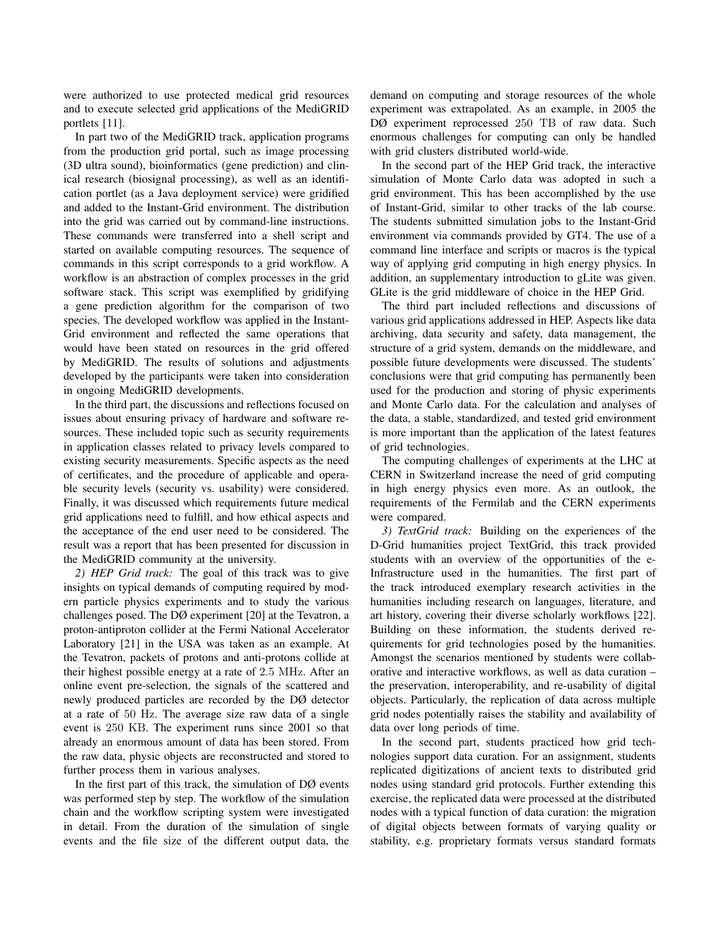were authorized to use protected medical grid resources and to execute selected grid applications of the MediGRID portlets [11].

In part two of the MediGRID track, application programs from the production grid portal, such as image processing (3D ultra sound), bioinformatics (gene prediction) and clinical research (biosignal processing), as well as an identification portlet (as a Java deployment service) were gridified and added to the Instant-Grid environment. The distribution into the grid was carried out by command-line instructions. These commands were transferred into a shell script and started on available computing resources. The sequence of commands in this script corresponds to a grid workflow. A workflow is an abstraction of complex processes in the grid software stack. This script was exemplified by gridifying a gene prediction algorithm for the comparison of two species. The developed workflow was applied in the Instant-Grid environment and reflected the same operations that would have been stated on resources in the grid offered by MediGRID. The results of solutions and adjustments developed by the participants were taken into consideration in ongoing MediGRID developments.

In the third part, the discussions and reflections focused on issues about ensuring privacy of hardware and software resources. These included topic such as security requirements in application classes related to privacy levels compared to existing security measurements. Specific aspects as the need of certificates, and the procedure of applicable and operable security levels (security vs. usability) were considered. Finally, it was discussed which requirements future medical grid applications need to fulfill, and how ethical aspects and the acceptance of the end user need to be considered. The result was a report that has been presented for discussion in the MediGRID community at the university.

*2) HEP Grid track:* The goal of this track was to give insights on typical demands of computing required by modern particle physics experiments and to study the various challenges posed. The DØ experiment [20] at the Tevatron, a proton-antiproton collider at the Fermi National Accelerator Laboratory [21] in the USA was taken as an example. At the Tevatron, packets of protons and anti-protons collide at their highest possible energy at a rate of 2.5 MHz. After an online event pre-selection, the signals of the scattered and newly produced particles are recorded by the DØ detector at a rate of 50 Hz. The average size raw data of a single event is 250 KB. The experiment runs since 2001 so that already an enormous amount of data has been stored. From the raw data, physic objects are reconstructed and stored to further process them in various analyses.

In the first part of this track, the simulation of DØ events was performed step by step. The workflow of the simulation chain and the workflow scripting system were investigated in detail. From the duration of the simulation of single events and the file size of the different output data, the demand on computing and storage resources of the whole experiment was extrapolated. As an example, in 2005 the DØ experiment reprocessed 250 TB of raw data. Such enormous challenges for computing can only be handled with grid clusters distributed world-wide.

In the second part of the HEP Grid track, the interactive simulation of Monte Carlo data was adopted in such a grid environment. This has been accomplished by the use of Instant-Grid, similar to other tracks of the lab course. The students submitted simulation jobs to the Instant-Grid environment via commands provided by GT4. The use of a command line interface and scripts or macros is the typical way of applying grid computing in high energy physics. In addition, an supplementary introduction to gLite was given. GLite is the grid middleware of choice in the HEP Grid.

The third part included reflections and discussions of various grid applications addressed in HEP. Aspects like data archiving, data security and safety, data management, the structure of a grid system, demands on the middleware, and possible future developments were discussed. The students' conclusions were that grid computing has permanently been used for the production and storing of physic experiments and Monte Carlo data. For the calculation and analyses of the data, a stable, standardized, and tested grid environment is more important than the application of the latest features of grid technologies.

The computing challenges of experiments at the LHC at CERN in Switzerland increase the need of grid computing in high energy physics even more. As an outlook, the requirements of the Fermilab and the CERN experiments were compared.

*3) TextGrid track:* Building on the experiences of the D-Grid humanities project TextGrid, this track provided students with an overview of the opportunities of the e-Infrastructure used in the humanities. The first part of the track introduced exemplary research activities in the humanities including research on languages, literature, and art history, covering their diverse scholarly workflows [22]. Building on these information, the students derived requirements for grid technologies posed by the humanities. Amongst the scenarios mentioned by students were collaborative and interactive workflows, as well as data curation – the preservation, interoperability, and re-usability of digital objects. Particularly, the replication of data across multiple grid nodes potentially raises the stability and availability of data over long periods of time.

In the second part, students practiced how grid technologies support data curation. For an assignment, students replicated digitizations of ancient texts to distributed grid nodes using standard grid protocols. Further extending this exercise, the replicated data were processed at the distributed nodes with a typical function of data curation: the migration of digital objects between formats of varying quality or stability, e.g. proprietary formats versus standard formats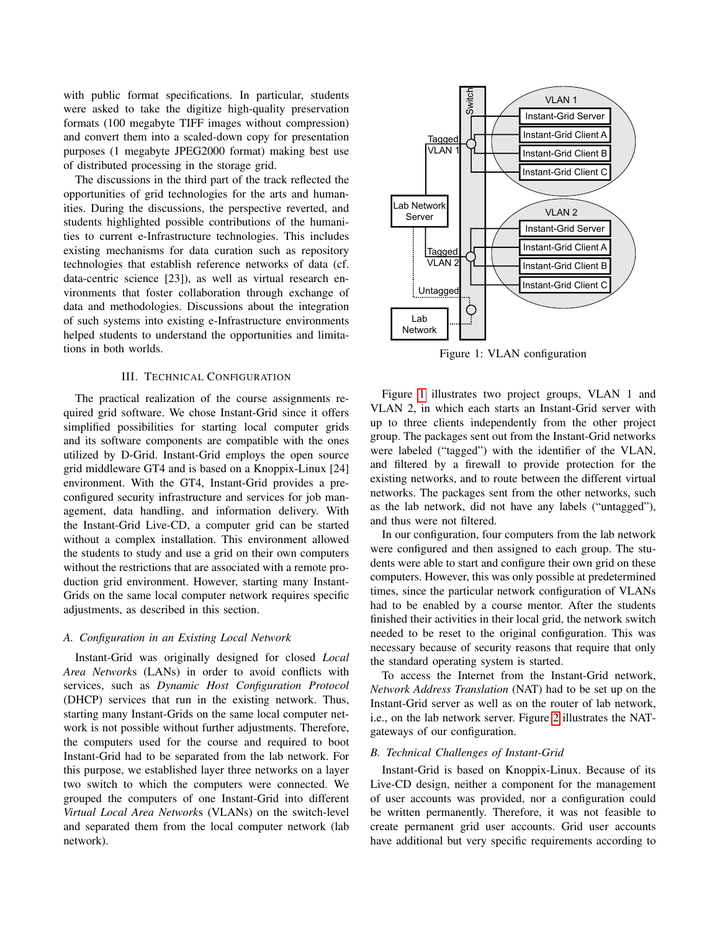with public format specifications. In particular, students were asked to take the digitize high-quality preservation formats (100 megabyte TIFF images without compression) and convert them into a scaled-down copy for presentation purposes (1 megabyte JPEG2000 format) making best use of distributed processing in the storage grid.

The discussions in the third part of the track reflected the opportunities of grid technologies for the arts and humanities. During the discussions, the perspective reverted, and students highlighted possible contributions of the humanities to current e-Infrastructure technologies. This includes existing mechanisms for data curation such as repository technologies that establish reference networks of data (cf. data-centric science [23]), as well as virtual research environments that foster collaboration through exchange of data and methodologies. Discussions about the integration of such systems into existing e-Infrastructure environments helped students to understand the opportunities and limitations in both worlds.

#### III. TECHNICAL CONFIGURATION

<span id="page-4-0"></span>The practical realization of the course assignments required grid software. We chose Instant-Grid since it offers simplified possibilities for starting local computer grids and its software components are compatible with the ones utilized by D-Grid. Instant-Grid employs the open source grid middleware GT4 and is based on a Knoppix-Linux [24] environment. With the GT4, Instant-Grid provides a preconfigured security infrastructure and services for job management, data handling, and information delivery. With the Instant-Grid Live-CD, a computer grid can be started without a complex installation. This environment allowed the students to study and use a grid on their own computers without the restrictions that are associated with a remote production grid environment. However, starting many Instant-Grids on the same local computer network requires specific adjustments, as described in this section.

#### *A. Configuration in an Existing Local Network*

Instant-Grid was originally designed for closed *Local Area Network*s (LANs) in order to avoid conflicts with services, such as *Dynamic Host Configuration Protocol* (DHCP) services that run in the existing network. Thus, starting many Instant-Grids on the same local computer network is not possible without further adjustments. Therefore, the computers used for the course and required to boot Instant-Grid had to be separated from the lab network. For this purpose, we established layer three networks on a layer two switch to which the computers were connected. We grouped the computers of one Instant-Grid into different *Virtual Local Area Network*s (VLANs) on the switch-level and separated them from the local computer network (lab network).

<span id="page-4-1"></span>

Figure 1: VLAN configuration

Figure [1](#page-4-1) illustrates two project groups, VLAN 1 and VLAN 2, in which each starts an Instant-Grid server with up to three clients independently from the other project group. The packages sent out from the Instant-Grid networks were labeled ("tagged") with the identifier of the VLAN, and filtered by a firewall to provide protection for the existing networks, and to route between the different virtual networks. The packages sent from the other networks, such as the lab network, did not have any labels ("untagged"), and thus were not filtered.

In our configuration, four computers from the lab network were configured and then assigned to each group. The students were able to start and configure their own grid on these computers. However, this was only possible at predetermined times, since the particular network configuration of VLANs had to be enabled by a course mentor. After the students finished their activities in their local grid, the network switch needed to be reset to the original configuration. This was necessary because of security reasons that require that only the standard operating system is started.

To access the Internet from the Instant-Grid network, *Network Address Translation* (NAT) had to be set up on the Instant-Grid server as well as on the router of lab network, i.e., on the lab network server. Figure [2](#page-5-1) illustrates the NATgateways of our configuration.

#### *B. Technical Challenges of Instant-Grid*

Instant-Grid is based on Knoppix-Linux. Because of its Live-CD design, neither a component for the management of user accounts was provided, nor a configuration could be written permanently. Therefore, it was not feasible to create permanent grid user accounts. Grid user accounts have additional but very specific requirements according to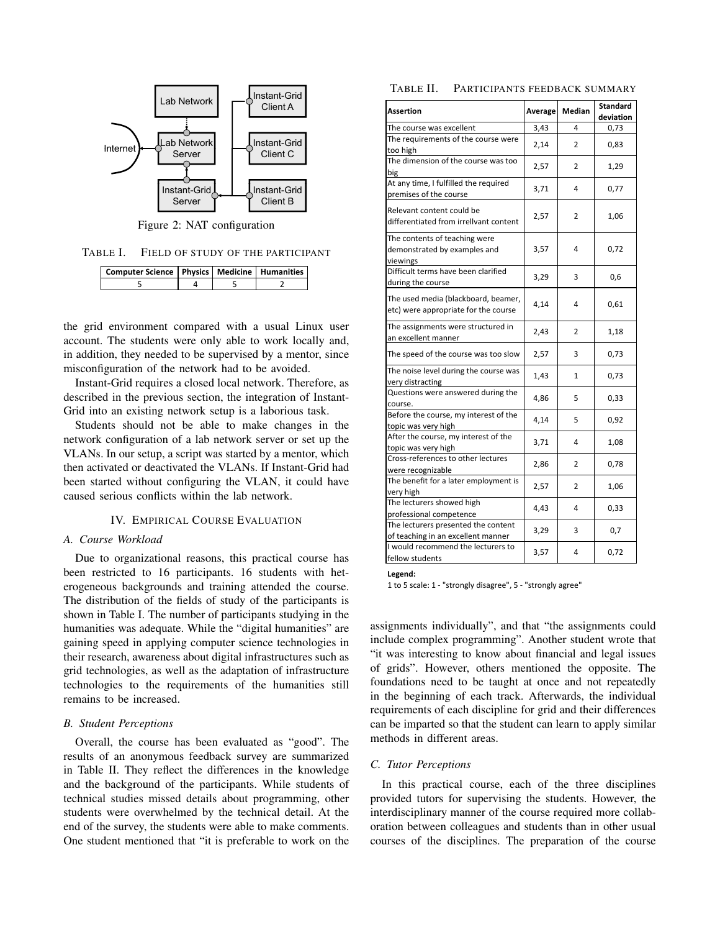<span id="page-5-1"></span>

Figure 2: NAT configuration

TABLE I. FIELD OF STUDY OF THE PARTICIPANT

| Computer Science   Physics   Medicine   Humanities |  |  |
|----------------------------------------------------|--|--|
|                                                    |  |  |

the grid environment compared with a usual Linux user account. The students were only able to work locally and, in addition, they needed to be supervised by a mentor, since misconfiguration of the network had to be avoided.

Instant-Grid requires a closed local network. Therefore, as described in the previous section, the integration of Instant-Grid into an existing network setup is a laborious task.

Students should not be able to make changes in the network configuration of a lab network server or set up the VLANs. In our setup, a script was started by a mentor, which then activated or deactivated the VLANs. If Instant-Grid had been started without configuring the VLAN, it could have caused serious conflicts within the lab network.

# IV. EMPIRICAL COURSE EVALUATION

#### <span id="page-5-0"></span>*A. Course Workload*

Due to organizational reasons, this practical course has been restricted to 16 participants. 16 students with heterogeneous backgrounds and training attended the course. The distribution of the fields of study of the participants is shown in Table I. The number of participants studying in the humanities was adequate. While the "digital humanities" are gaining speed in applying computer science technologies in their research, awareness about digital infrastructures such as grid technologies, as well as the adaptation of infrastructure technologies to the requirements of the humanities still remains to be increased.

#### *B. Student Perceptions*

Overall, the course has been evaluated as "good". The results of an anonymous feedback survey are summarized in Table II. They reflect the differences in the knowledge and the background of the participants. While students of technical studies missed details about programming, other students were overwhelmed by the technical detail. At the end of the survey, the students were able to make comments. One student mentioned that "it is preferable to work on the

| TABLE II. | PARTICIPANTS FEEDBACK SUMMARY |  |  |
|-----------|-------------------------------|--|--|
|-----------|-------------------------------|--|--|

| <b>Assertion</b>                                                            | Average | Median         | <b>Standard</b><br>deviation |
|-----------------------------------------------------------------------------|---------|----------------|------------------------------|
| The course was excellent                                                    | 3,43    | 4              | 0,73                         |
| The requirements of the course were<br>too high                             | 2,14    | $\overline{2}$ | 0,83                         |
| The dimension of the course was too<br>big                                  | 2,57    | $\overline{2}$ | 1,29                         |
| At any time, I fulfilled the required<br>premises of the course             | 3,71    | 4              | 0,77                         |
| Relevant content could be<br>differentiated from irrellvant content         | 2,57    | 2              | 1,06                         |
| The contents of teaching were<br>demonstrated by examples and<br>viewings   | 3,57    | 4              | 0,72                         |
| Difficult terms have been clarified<br>during the course                    | 3,29    | 3              | 0,6                          |
| The used media (blackboard, beamer,<br>etc) were appropriate for the course | 4,14    | 4              | 0,61                         |
| The assignments were structured in<br>an excellent manner                   | 2,43    | $\overline{2}$ | 1,18                         |
| The speed of the course was too slow                                        | 2,57    | 3              | 0,73                         |
| The noise level during the course was<br>very distracting                   | 1,43    | 1              | 0,73                         |
| Questions were answered during the<br>course.                               | 4,86    | 5              | 0,33                         |
| Before the course, my interest of the<br>topic was very high                | 4,14    | 5              | 0,92                         |
| After the course, my interest of the<br>topic was very high                 | 3,71    | 4              | 1,08                         |
| Cross-references to other lectures<br>were recognizable                     | 2,86    | $\overline{2}$ | 0,78                         |
| The benefit for a later employment is<br>very high                          | 2,57    | 2              | 1,06                         |
| The lecturers showed high<br>professional competence                        | 4,43    | 4              | 0,33                         |
| The lecturers presented the content<br>of teaching in an excellent manner   | 3,29    | 3              | 0,7                          |
| I would recommend the lecturers to<br>fellow students                       | 3,57    | 4              | 0,72                         |

**Legend:**

1 to 5 scale: 1 ‐ "strongly disagree", 5 ‐ "strongly agree"

assignments individually", and that "the assignments could include complex programming". Another student wrote that "it was interesting to know about financial and legal issues of grids". However, others mentioned the opposite. The foundations need to be taught at once and not repeatedly in the beginning of each track. Afterwards, the individual requirements of each discipline for grid and their differences can be imparted so that the student can learn to apply similar methods in different areas.

# *C. Tutor Perceptions*

In this practical course, each of the three disciplines provided tutors for supervising the students. However, the interdisciplinary manner of the course required more collaboration between colleagues and students than in other usual courses of the disciplines. The preparation of the course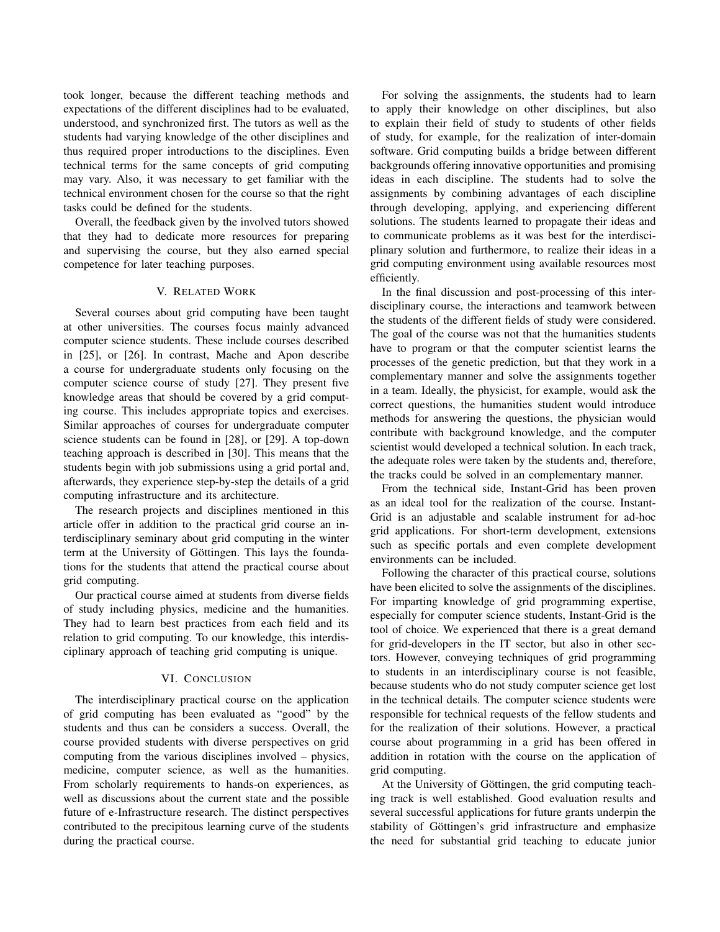took longer, because the different teaching methods and expectations of the different disciplines had to be evaluated, understood, and synchronized first. The tutors as well as the students had varying knowledge of the other disciplines and thus required proper introductions to the disciplines. Even technical terms for the same concepts of grid computing may vary. Also, it was necessary to get familiar with the technical environment chosen for the course so that the right tasks could be defined for the students.

Overall, the feedback given by the involved tutors showed that they had to dedicate more resources for preparing and supervising the course, but they also earned special competence for later teaching purposes.

#### V. RELATED WORK

<span id="page-6-0"></span>Several courses about grid computing have been taught at other universities. The courses focus mainly advanced computer science students. These include courses described in [25], or [26]. In contrast, Mache and Apon describe a course for undergraduate students only focusing on the computer science course of study [27]. They present five knowledge areas that should be covered by a grid computing course. This includes appropriate topics and exercises. Similar approaches of courses for undergraduate computer science students can be found in [28], or [29]. A top-down teaching approach is described in [30]. This means that the students begin with job submissions using a grid portal and, afterwards, they experience step-by-step the details of a grid computing infrastructure and its architecture.

The research projects and disciplines mentioned in this article offer in addition to the practical grid course an interdisciplinary seminary about grid computing in the winter term at the University of Göttingen. This lays the foundations for the students that attend the practical course about grid computing.

Our practical course aimed at students from diverse fields of study including physics, medicine and the humanities. They had to learn best practices from each field and its relation to grid computing. To our knowledge, this interdisciplinary approach of teaching grid computing is unique.

#### VI. CONCLUSION

<span id="page-6-1"></span>The interdisciplinary practical course on the application of grid computing has been evaluated as "good" by the students and thus can be considers a success. Overall, the course provided students with diverse perspectives on grid computing from the various disciplines involved – physics, medicine, computer science, as well as the humanities. From scholarly requirements to hands-on experiences, as well as discussions about the current state and the possible future of e-Infrastructure research. The distinct perspectives contributed to the precipitous learning curve of the students during the practical course.

For solving the assignments, the students had to learn to apply their knowledge on other disciplines, but also to explain their field of study to students of other fields of study, for example, for the realization of inter-domain software. Grid computing builds a bridge between different backgrounds offering innovative opportunities and promising ideas in each discipline. The students had to solve the assignments by combining advantages of each discipline through developing, applying, and experiencing different solutions. The students learned to propagate their ideas and to communicate problems as it was best for the interdisciplinary solution and furthermore, to realize their ideas in a grid computing environment using available resources most efficiently.

In the final discussion and post-processing of this interdisciplinary course, the interactions and teamwork between the students of the different fields of study were considered. The goal of the course was not that the humanities students have to program or that the computer scientist learns the processes of the genetic prediction, but that they work in a complementary manner and solve the assignments together in a team. Ideally, the physicist, for example, would ask the correct questions, the humanities student would introduce methods for answering the questions, the physician would contribute with background knowledge, and the computer scientist would developed a technical solution. In each track, the adequate roles were taken by the students and, therefore, the tracks could be solved in an complementary manner.

From the technical side, Instant-Grid has been proven as an ideal tool for the realization of the course. Instant-Grid is an adjustable and scalable instrument for ad-hoc grid applications. For short-term development, extensions such as specific portals and even complete development environments can be included.

Following the character of this practical course, solutions have been elicited to solve the assignments of the disciplines. For imparting knowledge of grid programming expertise, especially for computer science students, Instant-Grid is the tool of choice. We experienced that there is a great demand for grid-developers in the IT sector, but also in other sectors. However, conveying techniques of grid programming to students in an interdisciplinary course is not feasible, because students who do not study computer science get lost in the technical details. The computer science students were responsible for technical requests of the fellow students and for the realization of their solutions. However, a practical course about programming in a grid has been offered in addition in rotation with the course on the application of grid computing.

At the University of Göttingen, the grid computing teaching track is well established. Good evaluation results and several successful applications for future grants underpin the stability of Göttingen's grid infrastructure and emphasize the need for substantial grid teaching to educate junior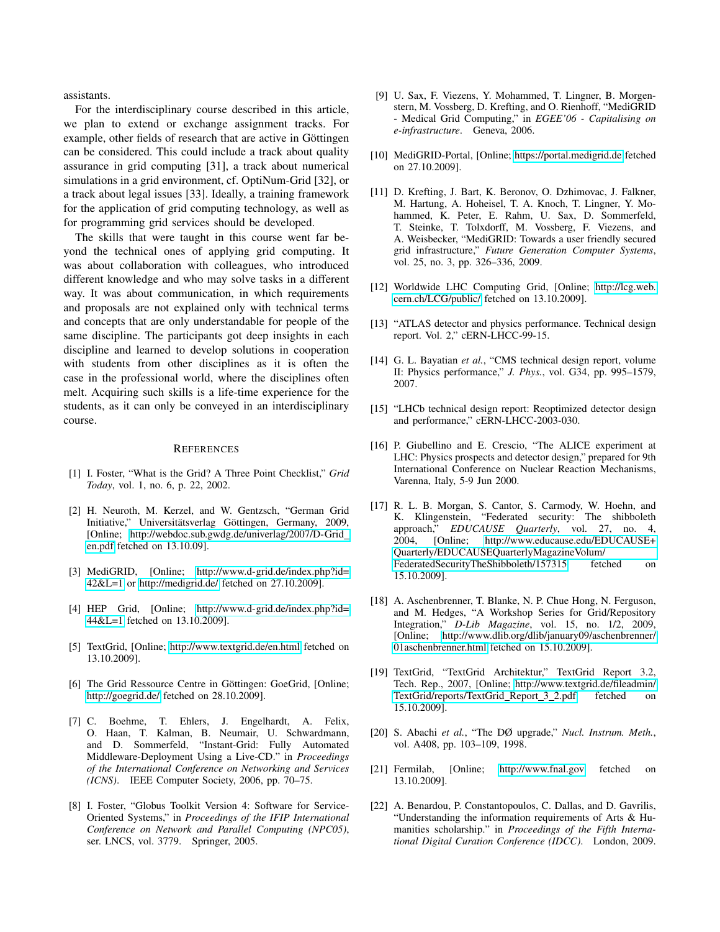assistants.

For the interdisciplinary course described in this article, we plan to extend or exchange assignment tracks. For example, other fields of research that are active in Göttingen can be considered. This could include a track about quality assurance in grid computing [31], a track about numerical simulations in a grid environment, cf. OptiNum-Grid [32], or a track about legal issues [33]. Ideally, a training framework for the application of grid computing technology, as well as for programming grid services should be developed.

The skills that were taught in this course went far beyond the technical ones of applying grid computing. It was about collaboration with colleagues, who introduced different knowledge and who may solve tasks in a different way. It was about communication, in which requirements and proposals are not explained only with technical terms and concepts that are only understandable for people of the same discipline. The participants got deep insights in each discipline and learned to develop solutions in cooperation with students from other disciplines as it is often the case in the professional world, where the disciplines often melt. Acquiring such skills is a life-time experience for the students, as it can only be conveyed in an interdisciplinary course.

#### **REFERENCES**

- [1] I. Foster, "What is the Grid? A Three Point Checklist," *Grid Today*, vol. 1, no. 6, p. 22, 2002.
- [2] H. Neuroth, M. Kerzel, and W. Gentzsch, "German Grid Initiative," Universitätsverlag Göttingen, Germany, 2009, [Online; [http://webdoc.sub.gwdg.de/univerlag/2007/D-Grid](http://webdoc.sub.gwdg.de/univerlag/2007/D-Grid_en.pdf) [en.pdf](http://webdoc.sub.gwdg.de/univerlag/2007/D-Grid_en.pdf) fetched on 13.10.09].
- [3] MediGRID, [Online; [http://www.d-grid.de/index.php?id=](http://www.d-grid.de/index.php?id=42&L=1) [42&L=1](http://www.d-grid.de/index.php?id=42&L=1) or<http://medigrid.de/> fetched on 27.10.2009].
- [4] HEP Grid, [Online; [http://www.d-grid.de/index.php?id=](http://www.d-grid.de/index.php?id=44&L=1) [44&L=1](http://www.d-grid.de/index.php?id=44&L=1) fetched on 13.10.2009].
- [5] TextGrid, [Online;<http://www.textgrid.de/en.html> fetched on 13.10.2009].
- [6] The Grid Ressource Centre in Göttingen: GoeGrid, [Online; <http://goegrid.de/> fetched on 28.10.2009].
- [7] C. Boehme, T. Ehlers, J. Engelhardt, A. Felix, O. Haan, T. Kalman, B. Neumair, U. Schwardmann, and D. Sommerfeld, "Instant-Grid: Fully Automated Middleware-Deployment Using a Live-CD." in *Proceedings of the International Conference on Networking and Services (ICNS)*. IEEE Computer Society, 2006, pp. 70–75.
- [8] I. Foster, "Globus Toolkit Version 4: Software for Service-Oriented Systems," in *Proceedings of the IFIP International Conference on Network and Parallel Computing (NPC05)*, ser. LNCS, vol. 3779. Springer, 2005.
- [9] U. Sax, F. Viezens, Y. Mohammed, T. Lingner, B. Morgenstern, M. Vossberg, D. Krefting, and O. Rienhoff, "MediGRID - Medical Grid Computing," in *EGEE'06 - Capitalising on e-infrastructure*. Geneva, 2006.
- [10] MediGRID-Portal, [Online;<https://portal.medigrid.de> fetched on 27.10.2009].
- [11] D. Krefting, J. Bart, K. Beronov, O. Dzhimovac, J. Falkner, M. Hartung, A. Hoheisel, T. A. Knoch, T. Lingner, Y. Mohammed, K. Peter, E. Rahm, U. Sax, D. Sommerfeld, T. Steinke, T. Tolxdorff, M. Vossberg, F. Viezens, and A. Weisbecker, "MediGRID: Towards a user friendly secured grid infrastructure," *Future Generation Computer Systems*, vol. 25, no. 3, pp. 326–336, 2009.
- [12] Worldwide LHC Computing Grid, [Online; [http://lcg.web.](http://lcg.web.cern.ch/LCG/public/) [cern.ch/LCG/public/](http://lcg.web.cern.ch/LCG/public/) fetched on 13.10.2009].
- [13] "ATLAS detector and physics performance. Technical design report. Vol. 2," cERN-LHCC-99-15.
- [14] G. L. Bayatian *et al.*, "CMS technical design report, volume II: Physics performance," *J. Phys.*, vol. G34, pp. 995–1579, 2007.
- [15] "LHCb technical design report: Reoptimized detector design and performance," cERN-LHCC-2003-030.
- [16] P. Giubellino and E. Crescio, "The ALICE experiment at LHC: Physics prospects and detector design," prepared for 9th International Conference on Nuclear Reaction Mechanisms, Varenna, Italy, 5-9 Jun 2000.
- [17] R. L. B. Morgan, S. Cantor, S. Carmody, W. Hoehn, and K. Klingenstein, "Federated security: The shibboleth approach," *EDUCAUSE Quarterly*, vol. 27, no. 4, 2004, [Online; [http://www.educause.edu/EDUCAUSE+](http://www.educause.edu/EDUCAUSE+Quarterly/EDUCAUSEQuarterlyMagazineVolum/FederatedSecurityTheShibboleth/157315) [Quarterly/EDUCAUSEQuarterlyMagazineVolum/](http://www.educause.edu/EDUCAUSE+Quarterly/EDUCAUSEQuarterlyMagazineVolum/FederatedSecurityTheShibboleth/157315) [FederatedSecurityTheShibboleth/157315](http://www.educause.edu/EDUCAUSE+Quarterly/EDUCAUSEQuarterlyMagazineVolum/FederatedSecurityTheShibboleth/157315) fetched on 15.10.2009].
- [18] A. Aschenbrenner, T. Blanke, N. P. Chue Hong, N. Ferguson, and M. Hedges, "A Workshop Series for Grid/Repository Integration," *D-Lib Magazine*, vol. 15, no. 1/2, 2009, [Online; [http://www.dlib.org/dlib/january09/aschenbrenner/](http://www.dlib.org/dlib/january09/aschenbrenner/01aschenbrenner.html) [01aschenbrenner.html](http://www.dlib.org/dlib/january09/aschenbrenner/01aschenbrenner.html) fetched on 15.10.2009].
- [19] TextGrid, "TextGrid Architektur," TextGrid Report 3.2, Tech. Rep., 2007, [Online; [http://www.textgrid.de/fileadmin/](http://www.textgrid.de/fileadmin/TextGrid/reports/TextGrid_Report_3_2.pdf) [TextGrid/reports/TextGrid](http://www.textgrid.de/fileadmin/TextGrid/reports/TextGrid_Report_3_2.pdf)\_Report\_3\_2.pdf fetched on 15.10.2009].
- [20] S. Abachi *et al.*, "The DØ upgrade," *Nucl. Instrum. Meth.*, vol. A408, pp. 103–109, 1998.
- [21] Fermilab, [Online;<http://www.fnal.gov> fetched on 13.10.2009].
- [22] A. Benardou, P. Constantopoulos, C. Dallas, and D. Gavrilis, "Understanding the information requirements of Arts & Humanities scholarship." in *Proceedings of the Fifth International Digital Curation Conference (IDCC)*. London, 2009.